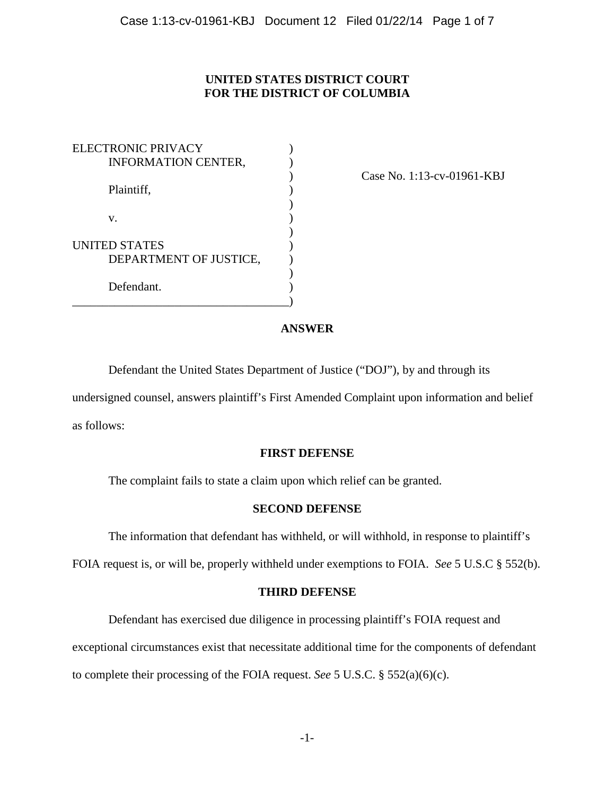# **UNITED STATES DISTRICT COURT FOR THE DISTRICT OF COLUMBIA**

| <b>ELECTRONIC PRIVACY</b>  |  |
|----------------------------|--|
| <b>INFORMATION CENTER,</b> |  |
|                            |  |
| Plaintiff,                 |  |
|                            |  |
| V.                         |  |
|                            |  |
| <b>UNITED STATES</b>       |  |
| DEPARTMENT OF JUSTICE,     |  |
|                            |  |
| Defendant.                 |  |
|                            |  |

) Case No. 1:13-cv-01961-KBJ

## **ANSWER**

Defendant the United States Department of Justice ("DOJ"), by and through its undersigned counsel, answers plaintiff's First Amended Complaint upon information and belief

as follows:

## **FIRST DEFENSE**

The complaint fails to state a claim upon which relief can be granted.

#### **SECOND DEFENSE**

The information that defendant has withheld, or will withhold, in response to plaintiff's

FOIA request is, or will be, properly withheld under exemptions to FOIA. *See* 5 U.S.C § 552(b).

#### **THIRD DEFENSE**

Defendant has exercised due diligence in processing plaintiff's FOIA request and

exceptional circumstances exist that necessitate additional time for the components of defendant

to complete their processing of the FOIA request. *See* 5 U.S.C. § 552(a)(6)(c).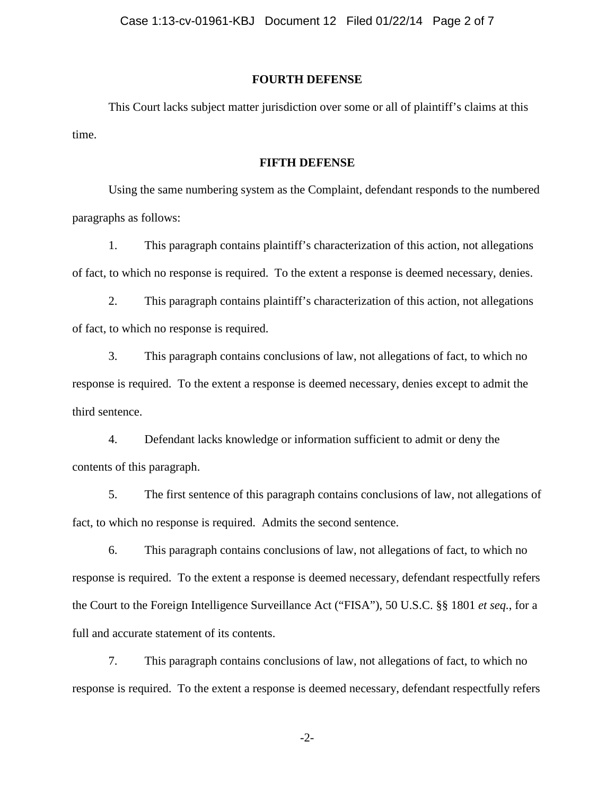#### **FOURTH DEFENSE**

This Court lacks subject matter jurisdiction over some or all of plaintiff's claims at this time.

#### **FIFTH DEFENSE**

Using the same numbering system as the Complaint, defendant responds to the numbered paragraphs as follows:

1. This paragraph contains plaintiff's characterization of this action, not allegations of fact, to which no response is required. To the extent a response is deemed necessary, denies.

2. This paragraph contains plaintiff's characterization of this action, not allegations of fact, to which no response is required.

3. This paragraph contains conclusions of law, not allegations of fact, to which no response is required. To the extent a response is deemed necessary, denies except to admit the third sentence.

4. Defendant lacks knowledge or information sufficient to admit or deny the contents of this paragraph.

5. The first sentence of this paragraph contains conclusions of law, not allegations of fact, to which no response is required. Admits the second sentence.

6. This paragraph contains conclusions of law, not allegations of fact, to which no response is required. To the extent a response is deemed necessary, defendant respectfully refers the Court to the Foreign Intelligence Surveillance Act ("FISA"), 50 U.S.C. §§ 1801 *et seq.*, for a full and accurate statement of its contents.

7. This paragraph contains conclusions of law, not allegations of fact, to which no response is required. To the extent a response is deemed necessary, defendant respectfully refers

-2-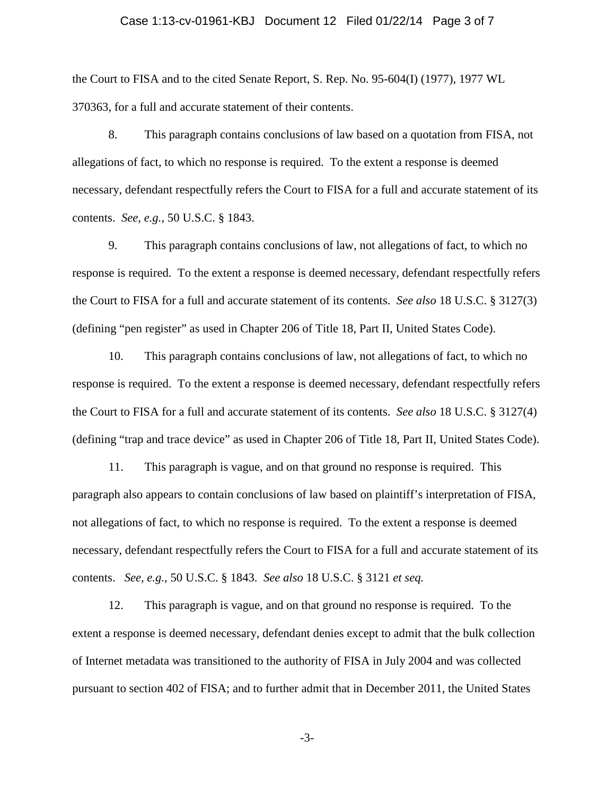## Case 1:13-cv-01961-KBJ Document 12 Filed 01/22/14 Page 3 of 7

the Court to FISA and to the cited Senate Report, S. Rep. No. 95-604(I) (1977), 1977 WL 370363, for a full and accurate statement of their contents.

8. This paragraph contains conclusions of law based on a quotation from FISA, not allegations of fact, to which no response is required. To the extent a response is deemed necessary, defendant respectfully refers the Court to FISA for a full and accurate statement of its contents. *See*, *e.g.*, 50 U.S.C. § 1843.

9. This paragraph contains conclusions of law, not allegations of fact, to which no response is required. To the extent a response is deemed necessary, defendant respectfully refers the Court to FISA for a full and accurate statement of its contents. *See also* 18 U.S.C. § 3127(3) (defining "pen register" as used in Chapter 206 of Title 18, Part II, United States Code).

10. This paragraph contains conclusions of law, not allegations of fact, to which no response is required. To the extent a response is deemed necessary, defendant respectfully refers the Court to FISA for a full and accurate statement of its contents. *See also* 18 U.S.C. § 3127(4) (defining "trap and trace device" as used in Chapter 206 of Title 18, Part II, United States Code).

11. This paragraph is vague, and on that ground no response is required. This paragraph also appears to contain conclusions of law based on plaintiff's interpretation of FISA, not allegations of fact, to which no response is required. To the extent a response is deemed necessary, defendant respectfully refers the Court to FISA for a full and accurate statement of its contents. *See, e.g.*, 50 U.S.C. § 1843. *See also* 18 U.S.C. § 3121 *et seq.*

12. This paragraph is vague, and on that ground no response is required. To the extent a response is deemed necessary, defendant denies except to admit that the bulk collection of Internet metadata was transitioned to the authority of FISA in July 2004 and was collected pursuant to section 402 of FISA; and to further admit that in December 2011, the United States

-3-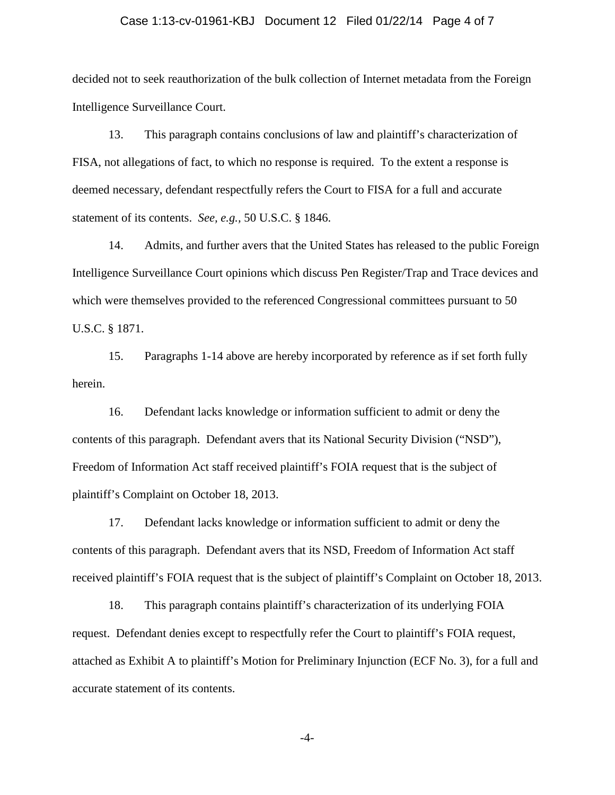## Case 1:13-cv-01961-KBJ Document 12 Filed 01/22/14 Page 4 of 7

decided not to seek reauthorization of the bulk collection of Internet metadata from the Foreign Intelligence Surveillance Court.

13. This paragraph contains conclusions of law and plaintiff's characterization of FISA, not allegations of fact, to which no response is required. To the extent a response is deemed necessary, defendant respectfully refers the Court to FISA for a full and accurate statement of its contents. *See, e.g.,* 50 U.S.C. § 1846.

14. Admits, and further avers that the United States has released to the public Foreign Intelligence Surveillance Court opinions which discuss Pen Register/Trap and Trace devices and which were themselves provided to the referenced Congressional committees pursuant to 50 U.S.C. § 1871.

15. Paragraphs 1-14 above are hereby incorporated by reference as if set forth fully herein.

16. Defendant lacks knowledge or information sufficient to admit or deny the contents of this paragraph. Defendant avers that its National Security Division ("NSD"), Freedom of Information Act staff received plaintiff's FOIA request that is the subject of plaintiff's Complaint on October 18, 2013.

17. Defendant lacks knowledge or information sufficient to admit or deny the contents of this paragraph. Defendant avers that its NSD, Freedom of Information Act staff received plaintiff's FOIA request that is the subject of plaintiff's Complaint on October 18, 2013.

18. This paragraph contains plaintiff's characterization of its underlying FOIA request. Defendant denies except to respectfully refer the Court to plaintiff's FOIA request, attached as Exhibit A to plaintiff's Motion for Preliminary Injunction (ECF No. 3), for a full and accurate statement of its contents.

-4-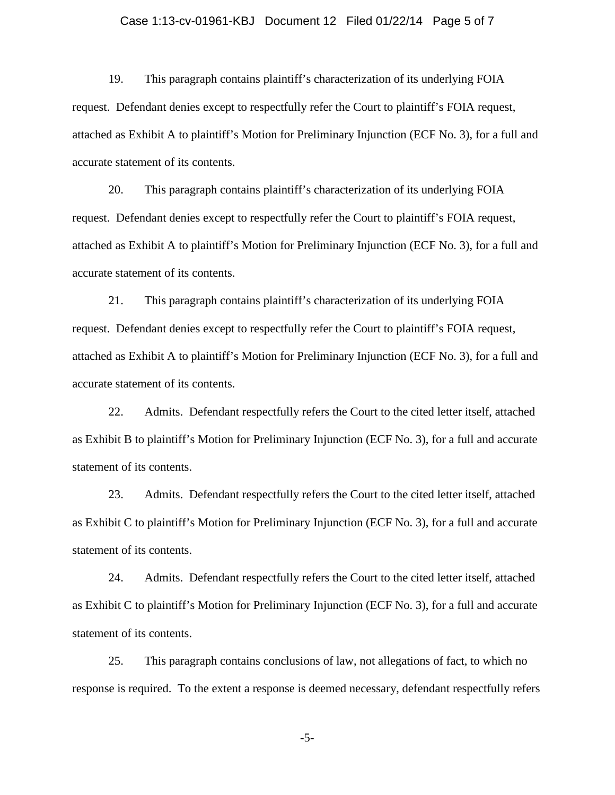## Case 1:13-cv-01961-KBJ Document 12 Filed 01/22/14 Page 5 of 7

19. This paragraph contains plaintiff's characterization of its underlying FOIA request. Defendant denies except to respectfully refer the Court to plaintiff's FOIA request, attached as Exhibit A to plaintiff's Motion for Preliminary Injunction (ECF No. 3), for a full and accurate statement of its contents.

20. This paragraph contains plaintiff's characterization of its underlying FOIA request. Defendant denies except to respectfully refer the Court to plaintiff's FOIA request, attached as Exhibit A to plaintiff's Motion for Preliminary Injunction (ECF No. 3), for a full and accurate statement of its contents.

21. This paragraph contains plaintiff's characterization of its underlying FOIA request. Defendant denies except to respectfully refer the Court to plaintiff's FOIA request, attached as Exhibit A to plaintiff's Motion for Preliminary Injunction (ECF No. 3), for a full and accurate statement of its contents.

22. Admits. Defendant respectfully refers the Court to the cited letter itself, attached as Exhibit B to plaintiff's Motion for Preliminary Injunction (ECF No. 3), for a full and accurate statement of its contents.

23. Admits. Defendant respectfully refers the Court to the cited letter itself, attached as Exhibit C to plaintiff's Motion for Preliminary Injunction (ECF No. 3), for a full and accurate statement of its contents.

24. Admits. Defendant respectfully refers the Court to the cited letter itself, attached as Exhibit C to plaintiff's Motion for Preliminary Injunction (ECF No. 3), for a full and accurate statement of its contents.

25. This paragraph contains conclusions of law, not allegations of fact, to which no response is required. To the extent a response is deemed necessary, defendant respectfully refers

-5-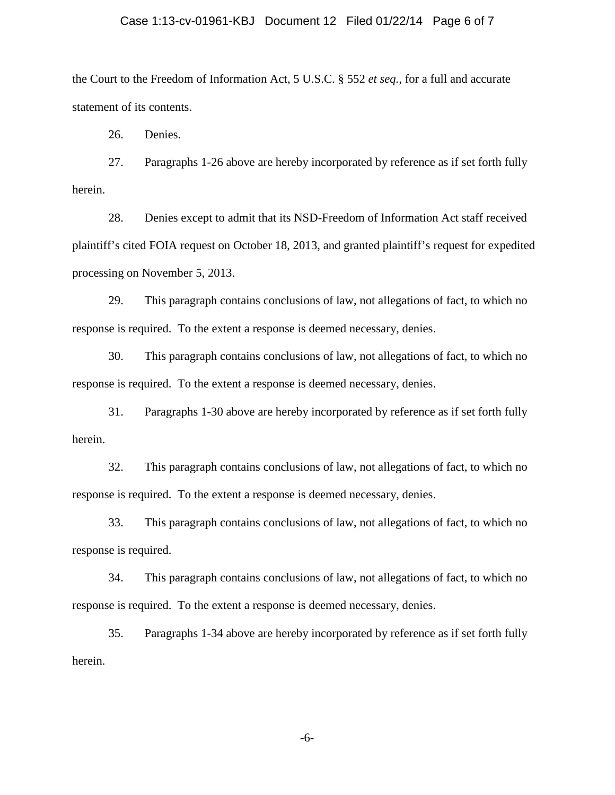#### Case 1:13-cv-01961-KBJ Document 12 Filed 01/22/14 Page 6 of 7

the Court to the Freedom of Information Act, 5 U.S.C. § 552 *et seq.*, for a full and accurate statement of its contents.

26. Denies.

27. Paragraphs 1-26 above are hereby incorporated by reference as if set forth fully herein.

28. Denies except to admit that its NSD-Freedom of Information Act staff received plaintiff's cited FOIA request on October 18, 2013, and granted plaintiff's request for expedited processing on November 5, 2013.

29. This paragraph contains conclusions of law, not allegations of fact, to which no response is required. To the extent a response is deemed necessary, denies.

30. This paragraph contains conclusions of law, not allegations of fact, to which no response is required. To the extent a response is deemed necessary, denies.

31. Paragraphs 1-30 above are hereby incorporated by reference as if set forth fully herein.

32. This paragraph contains conclusions of law, not allegations of fact, to which no response is required. To the extent a response is deemed necessary, denies.

33. This paragraph contains conclusions of law, not allegations of fact, to which no response is required.

34. This paragraph contains conclusions of law, not allegations of fact, to which no response is required. To the extent a response is deemed necessary, denies.

35. Paragraphs 1-34 above are hereby incorporated by reference as if set forth fully herein.

-6-